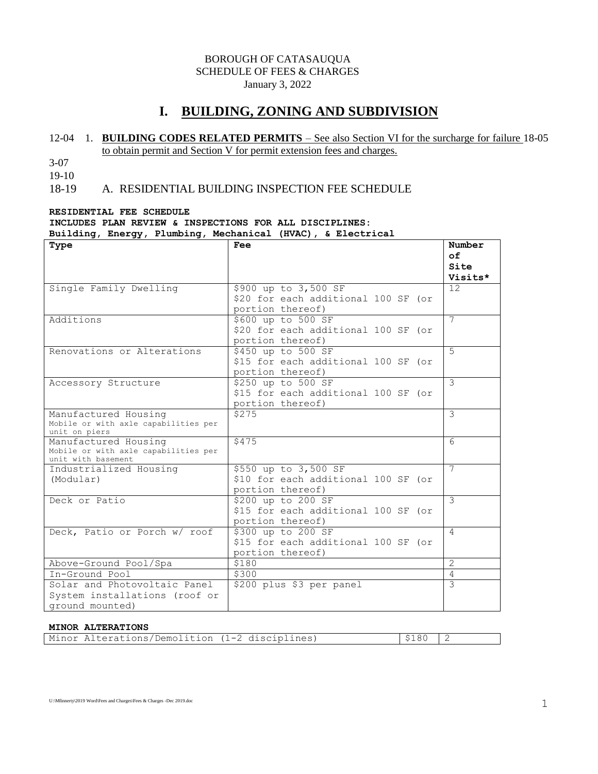### BOROUGH OF CATASAUQUA SCHEDULE OF FEES & CHARGES January 3, 2022

# **I. BUILDING, ZONING AND SUBDIVISION**

### 12-04 1. **BUILDING CODES RELATED PERMITS** – See also Section VI for the surcharge for failure 18-05 to obtain permit and Section V for permit extension fees and charges.

3-07

19-10

### 18-19 A. RESIDENTIAL BUILDING INSPECTION FEE SCHEDULE

#### **RESIDENTIAL FEE SCHEDULE**

### **INCLUDES PLAN REVIEW & INSPECTIONS FOR ALL DISCIPLINES:**

#### **Building, Energy, Plumbing, Mechanical (HVAC), & Electrical**

| Type                                                  | Fee                                 | Number         |
|-------------------------------------------------------|-------------------------------------|----------------|
|                                                       |                                     | $\circ$ f      |
|                                                       |                                     | Site           |
|                                                       |                                     | Visits*        |
| Single Family Dwelling                                | \$900 up to 3,500 SF                | 12             |
|                                                       | \$20 for each additional 100 SF (or |                |
|                                                       | portion thereof)                    |                |
| Additions                                             | \$600 up to 500 SF                  | $\overline{7}$ |
|                                                       | \$20 for each additional 100 SF (or |                |
|                                                       | portion thereof)                    |                |
| Renovations or Alterations                            | \$450 up to 500 SF                  | $5^{\circ}$    |
|                                                       | \$15 for each additional 100 SF (or |                |
|                                                       | portion thereof)                    |                |
| Accessory Structure                                   | \$250 up to 500 SF                  | 3              |
|                                                       | \$15 for each additional 100 SF (or |                |
|                                                       | portion thereof)                    |                |
| Manufactured Housing                                  | \$275                               | 3              |
| Mobile or with axle capabilities per<br>unit on piers |                                     |                |
| Manufactured Housing                                  | \$475                               | 6              |
| Mobile or with axle capabilities per                  |                                     |                |
| unit with basement                                    |                                     |                |
| Industrialized Housing                                | \$550 up to 3,500 SF                | 7              |
| (Modular)                                             | \$10 for each additional 100 SF (or |                |
|                                                       | portion thereof)                    |                |
| Deck or Patio                                         | \$200 up to 200 SF                  | $\mathcal{E}$  |
|                                                       | \$15 for each additional 100 SF (or |                |
|                                                       | portion thereof)                    |                |
| Deck, Patio or Porch w/ roof                          | \$300 up to 200 SF                  | 4              |
|                                                       | \$15 for each additional 100 SF (or |                |
|                                                       | portion thereof)                    |                |
| Above-Ground Pool/Spa                                 | \$180                               | $\mathcal{L}$  |
| In-Ground Pool                                        | \$300                               | $\overline{4}$ |
| Solar and Photovoltaic Panel                          | \$200 plus \$3 per panel            | $\mathcal{L}$  |
| System installations (roof or                         |                                     |                |
| ground mounted)                                       |                                     |                |

#### **MINOR ALTERATIONS**

| Minor Alterations/Demolition (1-2 disciplines) | $\frac{15180}{10}$ |  |
|------------------------------------------------|--------------------|--|
|------------------------------------------------|--------------------|--|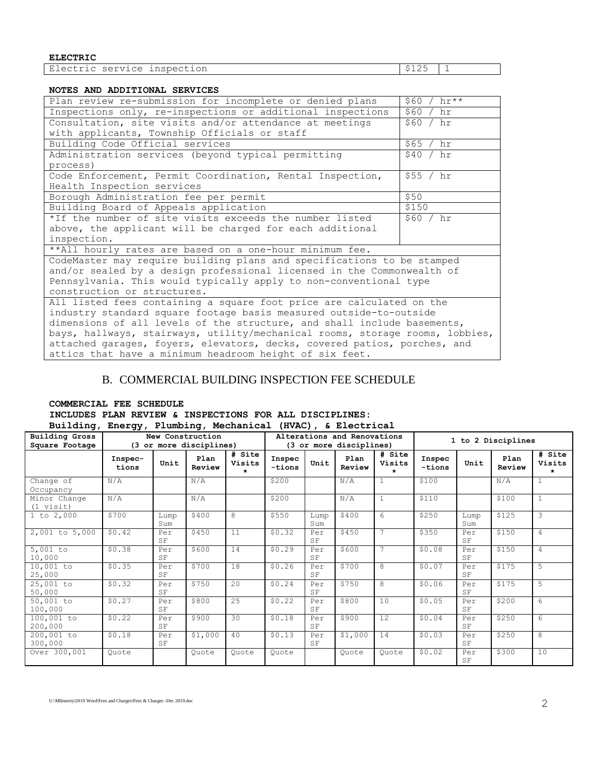**ELECTRIC**

| nspection<br>◝▵<br>$\sqrt{1}$<br>$\sim$<br>-----<br>.<br>. | $\sim$<br>. .<br>-- | - |
|------------------------------------------------------------|---------------------|---|

#### **NOTES AND ADDITIONAL SERVICES**

| Plan review re-submission for incomplete or denied plans                     | $$60 / hr**$ |
|------------------------------------------------------------------------------|--------------|
| Inspections only, re-inspections or additional inspections                   | \$60 / hr    |
| Consultation, site visits and/or attendance at meetings                      | \$60 / hr    |
| with applicants, Township Officials or staff                                 |              |
| Building Code Official services                                              | \$65 / hr    |
| Administration services (beyond typical permitting                           | \$40 / hr    |
| process)                                                                     |              |
| Code Enforcement, Permit Coordination, Rental Inspection,                    | \$55 / hr    |
| Health Inspection services                                                   |              |
| Borough Administration fee per permit                                        | \$50         |
| Building Board of Appeals application                                        | \$150        |
| *If the number of site visits exceeds the number listed                      | \$60 / hr    |
| above, the applicant will be charged for each additional                     |              |
| inspection.                                                                  |              |
| **All hourly rates are based on a one-hour minimum fee.                      |              |
| CodeMaster may require building plans and specifications to be stamped       |              |
| and/or sealed by a design professional licensed in the Commonwealth of       |              |
| Pennsylvania. This would typically apply to non-conventional type            |              |
| construction or structures.                                                  |              |
| All listed fees containing a square foot price are calculated on the         |              |
| industry standard square footage basis measured outside-to-outside           |              |
| dimensions of all levels of the structure, and shall include basements,      |              |
| bays, hallways, stairways, utility/mechanical rooms, storage rooms, lobbies, |              |
| attached garages, foyers, elevators, decks, covered patios, porches, and     |              |
| attics that have a minimum headroom height of six feet.                      |              |

### B. COMMERCIAL BUILDING INSPECTION FEE SCHEDULE

#### **COMMERCIAL FEE SCHEDULE INCLUDES PLAN REVIEW & INSPECTIONS FOR ALL DISCIPLINES: Building, Energy, Plumbing, Mechanical (HVAC), & Electrical**

| --------                                | -----977                                    |             | 22             |                                                        | \******//        |             |                    |                             |                  |             |                |                       |
|-----------------------------------------|---------------------------------------------|-------------|----------------|--------------------------------------------------------|------------------|-------------|--------------------|-----------------------------|------------------|-------------|----------------|-----------------------|
| <b>Building Gross</b><br>Square Footage | New Construction<br>(3 or more disciplines) |             |                | Alterations and Renovations<br>(3 or more disciplines) |                  |             | 1 to 2 Disciplines |                             |                  |             |                |                       |
|                                         | Inspec-<br>tions                            | Unit        | Plan<br>Review | # Site<br>Visits<br>$\star$                            | Inspec<br>-tions | Unit        | Plan<br>Review     | # Site<br>Visits<br>$\star$ | Inspec<br>-tions | Unit        | Plan<br>Review | # Site<br>Visits<br>* |
| Change of<br>Occupancy                  | N/A                                         |             | N/A            |                                                        | \$200            |             | N/A                | $\mathbf{1}$                | \$100            |             | N/A            |                       |
| Minor Change<br>$(1 \text{visit})$      | N/A                                         |             | N/A            |                                                        | \$200            |             | N/A                |                             | \$110            |             | \$100          | $\mathbf{1}$          |
| $1$ to $2,000$                          | \$700                                       | Lump<br>Sum | \$400          | 8                                                      | \$550            | Lump<br>Sum | \$400              | 6                           | \$250            | Lump<br>Sum | \$125          | 3                     |
| 2,001 to 5,000                          | \$0.42                                      | Per<br>SF   | \$450          | 11                                                     | \$0.32           | Per<br>SF   | \$450              |                             | \$350            | Per<br>SF   | \$150          | 4                     |
| $5,001$ to<br>10,000                    | \$0.38                                      | Per<br>SF   | \$600          | 14                                                     | \$0.29           | Per<br>SF   | \$600              | 7                           | \$0.08           | Per<br>SF   | \$150          | 4                     |
| 10,001 to<br>25,000                     | \$0.35                                      | Per<br>SF   | \$700          | 18                                                     | \$0.26           | Per<br>SF   | \$700              | 8                           | \$0.07           | Per<br>SF   | \$175          | 5                     |
| 25,001 to<br>50,000                     | \$0.32                                      | Per<br>SF   | \$750          | 2.0                                                    | \$0.24           | Per<br>SF   | \$750              | 8                           | \$0.06           | Per<br>SF   | \$175          | 5                     |
| 50,001 to<br>100,000                    | \$0.27                                      | Per<br>SF   | \$800          | 25                                                     | \$0.22           | Per<br>SF   | \$800              | 10                          | \$0.05           | Per<br>SF   | \$200          | $6 \overline{6}$      |
| 100,001 to<br>200,000                   | \$0.22                                      | Per<br>SF   | \$900          | 30                                                     | \$0.18           | Per<br>SF   | \$900              | 12                          | \$0.04           | Per<br>SF   | \$250          | 6                     |
| 200,001 to<br>300,000                   | \$0.18                                      | Per<br>SF   | \$1,000        | 40                                                     | \$0.13           | Per<br>SF   | \$1,000            | 14                          | \$0.03           | Per<br>SF   | \$250          | 8                     |
| Over 300,001                            | Ouote                                       |             | Ouote          | Ouote                                                  | Quote            |             | Ouote              | Ouote                       | \$0.02           | Per<br>SF   | \$300          | 10                    |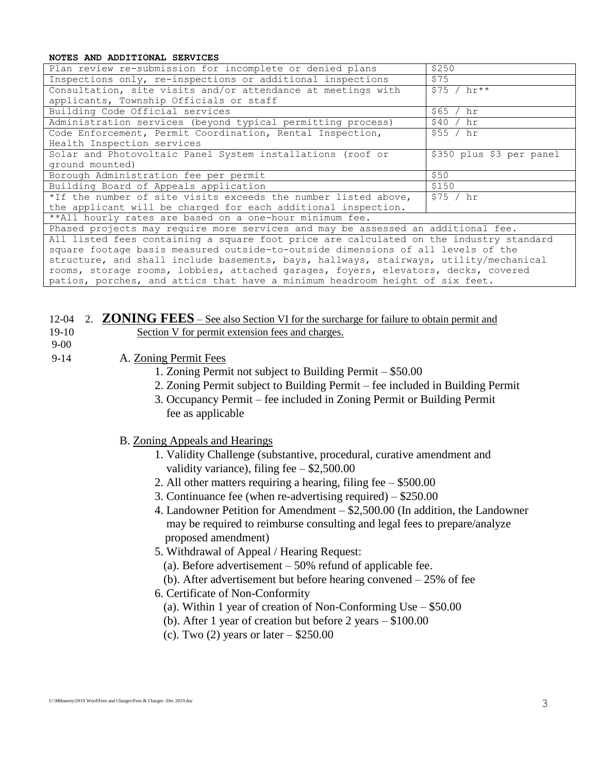#### **NOTES AND ADDITIONAL SERVICES**

| Plan review re-submission for incomplete or denied plans                               | \$250                    |  |  |  |  |
|----------------------------------------------------------------------------------------|--------------------------|--|--|--|--|
| Inspections only, re-inspections or additional inspections                             | \$75                     |  |  |  |  |
| Consultation, site visits and/or attendance at meetings with                           | $$75 / hr**$             |  |  |  |  |
| applicants, Township Officials or staff                                                |                          |  |  |  |  |
| Building Code Official services                                                        | \$65 / hr                |  |  |  |  |
| Administration services (beyond typical permitting process)                            | \$40 / hr                |  |  |  |  |
| Code Enforcement, Permit Coordination, Rental Inspection,                              | \$55 / hr                |  |  |  |  |
| Health Inspection services                                                             |                          |  |  |  |  |
| Solar and Photovoltaic Panel System installations (roof or                             | \$350 plus \$3 per panel |  |  |  |  |
| ground mounted)                                                                        |                          |  |  |  |  |
| Borough Administration fee per permit                                                  | \$50                     |  |  |  |  |
| Building Board of Appeals application                                                  | \$150                    |  |  |  |  |
| *If the number of site visits exceeds the number listed above,                         | \$75 / hr                |  |  |  |  |
| the applicant will be charged for each additional inspection.                          |                          |  |  |  |  |
| **All hourly rates are based on a one-hour minimum fee.                                |                          |  |  |  |  |
| Phased projects may require more services and may be assessed an additional fee.       |                          |  |  |  |  |
| All listed fees containing a square foot price are calculated on the industry standard |                          |  |  |  |  |
| square footage basis measured outside-to-outside dimensions of all levels of the       |                          |  |  |  |  |
| structure, and shall include basements, bays, hallways, stairways, utility/mechanical  |                          |  |  |  |  |
| rooms, storage rooms, lobbies, attached garages, foyers, elevators, decks, covered     |                          |  |  |  |  |
| patios, porches, and attics that have a minimum headroom height of six feet.           |                          |  |  |  |  |

### 12-04 2. **ZONING FEES** – See also Section VI for the surcharge for failure to obtain permit and

- 19-10 Section V for permit extension fees and charges.
- 9-00

9-14 A. Zoning Permit Fees

- 1. Zoning Permit not subject to Building Permit \$50.00
- 2. Zoning Permit subject to Building Permit fee included in Building Permit
- 3. Occupancy Permit fee included in Zoning Permit or Building Permit fee as applicable
- B. Zoning Appeals and Hearings
	- 1. Validity Challenge (substantive, procedural, curative amendment and validity variance), filing fee – \$2,500.00
	- 2. All other matters requiring a hearing, filing fee \$500.00
	- 3. Continuance fee (when re-advertising required) \$250.00
	- 4. Landowner Petition for Amendment \$2,500.00 (In addition, the Landowner may be required to reimburse consulting and legal fees to prepare/analyze proposed amendment)
	- 5. Withdrawal of Appeal / Hearing Request:
		- (a). Before advertisement  $-50\%$  refund of applicable fee.
	- (b). After advertisement but before hearing convened 25% of fee
	- 6. Certificate of Non-Conformity
		- (a). Within 1 year of creation of Non-Conforming Use \$50.00
		- (b). After 1 year of creation but before 2 years \$100.00
		- (c). Two  $(2)$  years or later  $-$  \$250.00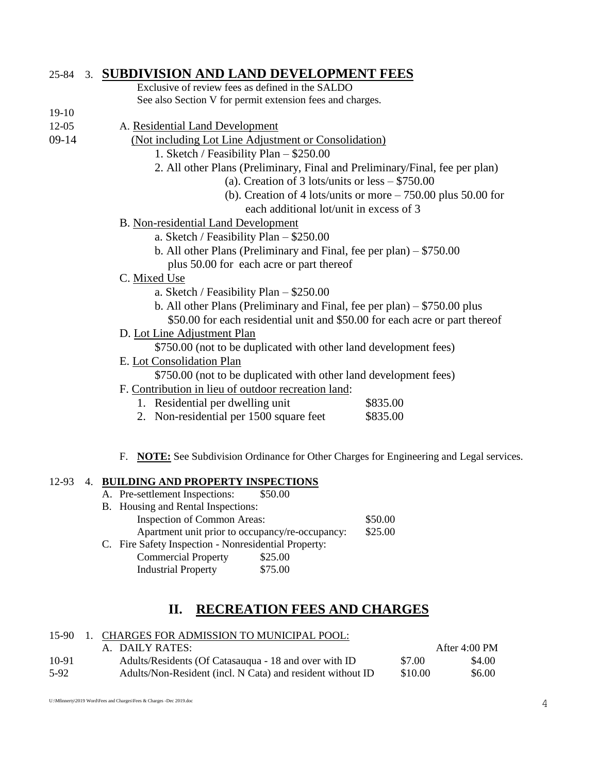## 25-84 3. **SUBDIVISION AND LAND DEVELOPMENT FEES**

| Exclusive of review fees as defined in the SALDO          |
|-----------------------------------------------------------|
| See also Section V for permit extension fees and charges. |

12-05 A. Residential Land Development

19-10

- 09-14 (Not including Lot Line Adjustment or Consolidation)
	- 1. Sketch / Feasibility Plan \$250.00
	- 2. All other Plans (Preliminary, Final and Preliminary/Final, fee per plan)
		- (a). Creation of 3 lots/units or less \$750.00
		- (b). Creation of 4 lots/units or more 750.00 plus 50.00 for each additional lot/unit in excess of 3
	- B. Non-residential Land Development
		- a. Sketch / Feasibility Plan \$250.00
		- b. All other Plans (Preliminary and Final, fee per plan) \$750.00
			- plus 50.00 for each acre or part thereof
	- C. Mixed Use
		- a. Sketch / Feasibility Plan \$250.00
		- b. All other Plans (Preliminary and Final, fee per plan) \$750.00 plus
		- \$50.00 for each residential unit and \$50.00 for each acre or part thereof
	- D. Lot Line Adjustment Plan
		- \$750.00 (not to be duplicated with other land development fees)
	- E. Lot Consolidation Plan

\$750.00 (not to be duplicated with other land development fees)

- F. Contribution in lieu of outdoor recreation land:
	- 1. Residential per dwelling unit \$835.00
	- 2. Non-residential per 1500 square feet \$835.00
- F. **NOTE:** See Subdivision Ordinance for Other Charges for Engineering and Legal services.

### 12-93 4. **BUILDING AND PROPERTY INSPECTIONS**

| A. Pre-settlement Inspections:                       | \$50.00                                         |         |
|------------------------------------------------------|-------------------------------------------------|---------|
| B. Housing and Rental Inspections:                   |                                                 |         |
| Inspection of Common Areas:                          |                                                 | \$50.00 |
|                                                      | Apartment unit prior to occupancy/re-occupancy: | \$25.00 |
| C. Fire Safety Inspection - Nonresidential Property: |                                                 |         |
| <b>Commercial Property</b>                           | \$25.00                                         |         |
| <b>Industrial Property</b>                           | \$75.00                                         |         |

## **II. RECREATION FEES AND CHARGES**

### 15-90 1. CHARGES FOR ADMISSION TO MUNICIPAL POOL:

|       | A. DAILY RATES:                                            |         | After $4:00$ PM |
|-------|------------------------------------------------------------|---------|-----------------|
| 10-91 | Adults/Residents (Of Catasaugua - 18 and over with ID      | \$7.00  | \$4.00          |
| 5-92  | Adults/Non-Resident (incl. N Cata) and resident without ID | \$10.00 | \$6.00          |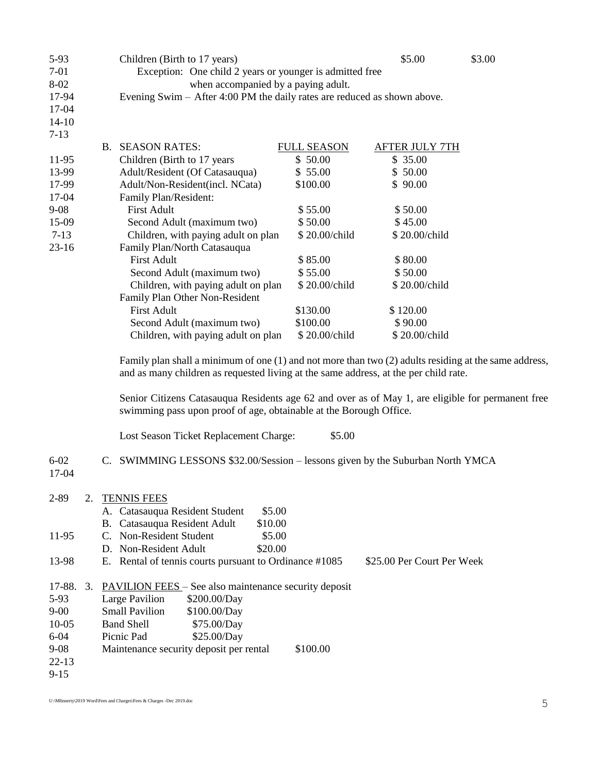| 5-93      | Children (Birth to 17 years)                                                                                                                                                                      |                    | \$5.00                | \$3.00 |
|-----------|---------------------------------------------------------------------------------------------------------------------------------------------------------------------------------------------------|--------------------|-----------------------|--------|
| $7-01$    | Exception: One child 2 years or younger is admitted free                                                                                                                                          |                    |                       |        |
| 8-02      | when accompanied by a paying adult.                                                                                                                                                               |                    |                       |        |
| 17-94     | Evening Swim – After 4:00 PM the daily rates are reduced as shown above.                                                                                                                          |                    |                       |        |
| 17-04     |                                                                                                                                                                                                   |                    |                       |        |
| $14 - 10$ |                                                                                                                                                                                                   |                    |                       |        |
| $7 - 13$  |                                                                                                                                                                                                   |                    |                       |        |
|           | <b>B. SEASON RATES:</b>                                                                                                                                                                           | <b>FULL SEASON</b> | <b>AFTER JULY 7TH</b> |        |
| 11-95     | Children (Birth to 17 years)                                                                                                                                                                      | \$50.00            | \$35.00               |        |
| 13-99     | Adult/Resident (Of Catasauqua)                                                                                                                                                                    | \$55.00            | \$50.00               |        |
| 17-99     | Adult/Non-Resident(incl. NCata)                                                                                                                                                                   | \$100.00           | \$90.00               |        |
| 17-04     | Family Plan/Resident:                                                                                                                                                                             |                    |                       |        |
| $9 - 08$  | <b>First Adult</b>                                                                                                                                                                                | \$55.00            | \$50.00               |        |
| 15-09     | Second Adult (maximum two)                                                                                                                                                                        | \$50.00            | \$45.00               |        |
| $7-13$    | Children, with paying adult on plan                                                                                                                                                               | \$20.00/child      | \$20.00/child         |        |
| 23-16     | Family Plan/North Catasauqua                                                                                                                                                                      |                    |                       |        |
|           | <b>First Adult</b>                                                                                                                                                                                | \$85.00            | \$80.00               |        |
|           | Second Adult (maximum two)                                                                                                                                                                        | \$55.00            | \$50.00               |        |
|           | Children, with paying adult on plan                                                                                                                                                               | \$20.00/child      | \$20.00/child         |        |
|           | Family Plan Other Non-Resident                                                                                                                                                                    |                    |                       |        |
|           | <b>First Adult</b>                                                                                                                                                                                | \$130.00           | \$120.00              |        |
|           | Second Adult (maximum two)                                                                                                                                                                        | \$100.00           | \$90.00               |        |
|           | Children, with paying adult on plan                                                                                                                                                               | \$20.00/child      | \$20.00/child         |        |
|           | Family plan shall a minimum of one $(1)$ and not more than two $(2)$ adults residing at the same address,<br>and as many children as requested living at the same address, at the per child rate. |                    |                       |        |
|           | Senior Citizens Catasauqua Residents age 62 and over as of May 1, are eligible for permanent free<br>swimming pass upon proof of age, obtainable at the Borough Office.                           |                    |                       |        |

Lost Season Ticket Replacement Charge: \$5.00

### 6-02 C. SWIMMING LESSONS \$32.00/Session – lessons given by the Suburban North YMCA

17-04

| 2-89      | 2. | <b>TENNIS FEES</b>                                                                   |
|-----------|----|--------------------------------------------------------------------------------------|
|           |    | A. Catasauqua Resident Student<br>\$5.00                                             |
|           |    | B. Catasauqua Resident Adult<br>\$10.00                                              |
| 11-95     |    | C. Non-Resident Student<br>\$5.00                                                    |
|           |    | D. Non-Resident Adult<br>\$20.00                                                     |
| 13-98     |    | E. Rental of tennis courts pursuant to Ordinance #1085<br>\$25.00 Per Court Per Week |
| 17-88.    | 3. | <b>PAVILION FEES</b> – See also maintenance security deposit                         |
| $5-93$    |    | Large Pavilion<br>\$200.00/Day                                                       |
| $9 - 00$  |    | <b>Small Pavilion</b><br>\$100.00/Day                                                |
| $10-05$   |    | \$75.00/Day<br><b>Band Shell</b>                                                     |
| $6 - 04$  |    | Picnic Pad<br>\$25.00/Day                                                            |
| $9 - 08$  |    | Maintenance security deposit per rental<br>\$100.00                                  |
| $22 - 13$ |    |                                                                                      |
| $9 - 15$  |    |                                                                                      |

U:\Mfinnerty\2019 Word\Fees and Charges\Fees & Charges -Dec 2019.doc 5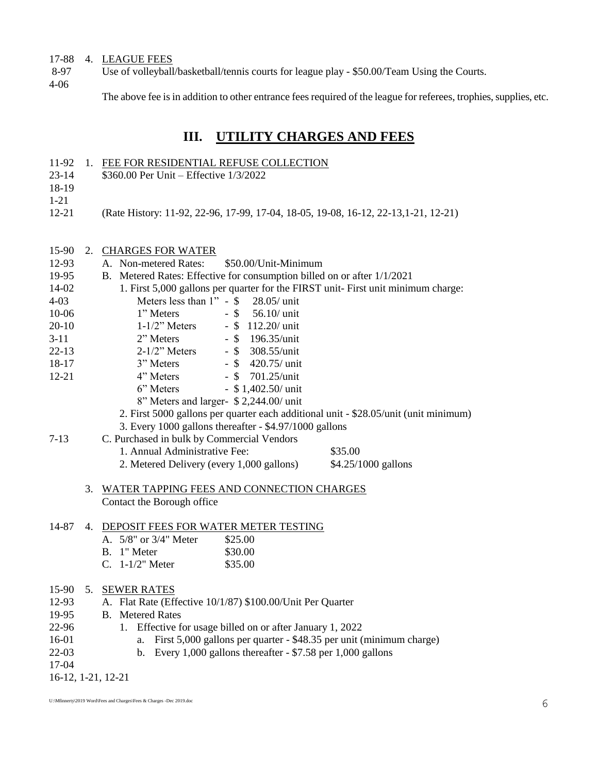### 17-88 4. LEAGUE FEES

8-97 Use of volleyball/basketball/tennis courts for league play - \$50.00/Team Using the Courts.

11-92 1. FEE FOR RESIDENTIAL REFUSE COLLECTION

23-14 \$360.00 Per Unit – Effective 1/3/2022

4-06

The above fee is in addition to other entrance fees required of the league for referees, trophies, supplies, etc.

# **III. UTILITY CHARGES AND FEES**

| 18-19<br>$1 - 21$<br>$12 - 21$ |    | (Rate History: 11-92, 22-96, 17-99, 17-04, 18-05, 19-08, 16-12, 22-13, 1-21, 12-21)  |
|--------------------------------|----|--------------------------------------------------------------------------------------|
|                                |    |                                                                                      |
| 15-90                          | 2. | <b>CHARGES FOR WATER</b>                                                             |
| 12-93                          |    | A. Non-metered Rates:<br>\$50.00/Unit-Minimum                                        |
| 19-95                          |    | B. Metered Rates: Effective for consumption billed on or after 1/1/2021              |
| 14-02                          |    | 1. First 5,000 gallons per quarter for the FIRST unit- First unit minimum charge:    |
| $4 - 03$                       |    | Meters less than $1" - $$<br>28.05/ unit                                             |
| 10-06                          |    | 1" Meters<br>$-$ \$<br>56.10/ unit                                                   |
| $20-10$                        |    | $1-1/2$ " Meters<br>$-$ \$ 112.20/ unit                                              |
| $3-11$                         |    | 2" Meters<br>$-$ \$ 196.35/unit                                                      |
| $22 - 13$                      |    | $2-1/2$ " Meters<br>$-$ \$<br>308.55/unit                                            |
| 18-17                          |    | $-$ \$<br>3" Meters<br>420.75/ unit                                                  |
| $12 - 21$                      |    | 4" Meters<br>- \$ 701.25/unit                                                        |
|                                |    | $-$ \$ 1,402.50/ unit<br>6" Meters                                                   |
|                                |    | 8" Meters and larger- \$2,244.00/ unit                                               |
|                                |    | 2. First 5000 gallons per quarter each additional unit - \$28.05/unit (unit minimum) |
|                                |    | 3. Every 1000 gallons thereafter - \$4.97/1000 gallons                               |
| $7-13$                         |    | C. Purchased in bulk by Commercial Vendors                                           |
|                                |    | 1. Annual Administrative Fee:<br>\$35.00                                             |
|                                |    | 2. Metered Delivery (every 1,000 gallons)<br>\$4.25/1000 gallons                     |
|                                | 3. | WATER TAPPING FEES AND CONNECTION CHARGES                                            |
|                                |    | Contact the Borough office                                                           |
|                                |    |                                                                                      |
| 14-87                          |    | 4. DEPOSIT FEES FOR WATER METER TESTING                                              |
|                                |    | A. 5/8" or 3/4" Meter<br>\$25.00                                                     |
|                                |    | B. 1" Meter<br>\$30.00                                                               |
|                                |    | C. 1-1/2" Meter<br>\$35.00                                                           |
| 15-90                          | 5. | <b>SEWER RATES</b>                                                                   |
| 12-93                          |    | A. Flat Rate (Effective 10/1/87) \$100.00/Unit Per Quarter                           |
| 19-95                          |    | <b>B.</b> Metered Rates                                                              |
| 22-96                          |    | Effective for usage billed on or after January 1, 2022<br>1.                         |
| 16-01                          |    | First 5,000 gallons per quarter - \$48.35 per unit (minimum charge)<br>a.            |
| $22-03$                        |    | Every 1,000 gallons thereafter $-$ \$7.58 per 1,000 gallons<br>b.                    |
| 17-04                          |    |                                                                                      |
|                                |    | 16-12, 1-21, 12-21                                                                   |
|                                |    |                                                                                      |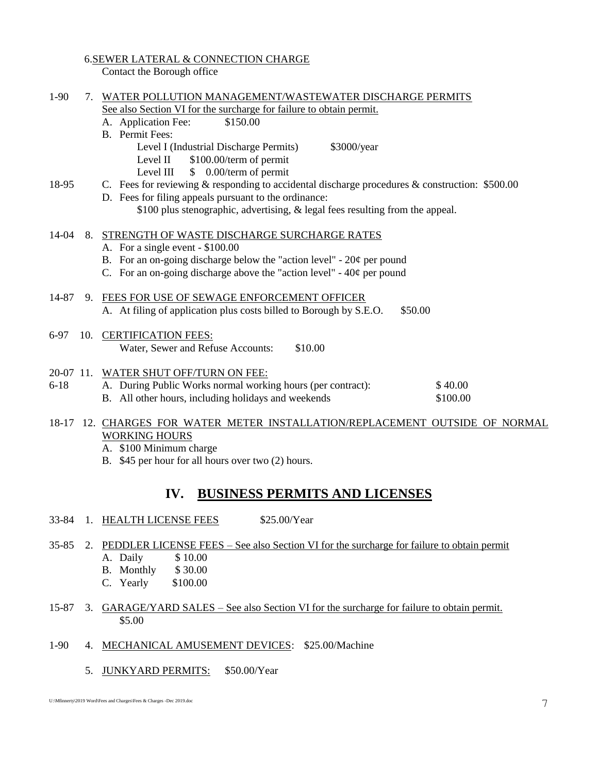### 6.SEWER LATERAL & CONNECTION CHARGE

Contact the Borough office

| $1-90$<br>WATER POLLUTION MANAGEMENT/WASTEWATER DISCHARGE PERMITS<br>7.<br>See also Section VI for the surcharge for failure to obtain permit. |     |                                                                                                                                                                                                                                          |  |
|------------------------------------------------------------------------------------------------------------------------------------------------|-----|------------------------------------------------------------------------------------------------------------------------------------------------------------------------------------------------------------------------------------------|--|
|                                                                                                                                                |     | \$150.00<br>A. Application Fee:                                                                                                                                                                                                          |  |
|                                                                                                                                                |     | <b>B.</b> Permit Fees:<br>Level I (Industrial Discharge Permits)<br>\$3000/year<br>Level II \$100.00/term of permit<br>Level III $$ 0.00/term of permit$                                                                                 |  |
| 18-95                                                                                                                                          |     | C. Fees for reviewing & responding to accidental discharge procedures & construction: \$500.00<br>D. Fees for filing appeals pursuant to the ordinance:<br>\$100 plus stenographic, advertising, & legal fees resulting from the appeal. |  |
|                                                                                                                                                |     |                                                                                                                                                                                                                                          |  |
| 14-04                                                                                                                                          |     | 8. STRENGTH OF WASTE DISCHARGE SURCHARGE RATES<br>A. For a single event - \$100.00<br>B. For an on-going discharge below the "action level" - $20¢$ per pound<br>C. For an on-going discharge above the "action level" - $40¢$ per pound |  |
| 14-87                                                                                                                                          |     | 9. FEES FOR USE OF SEWAGE ENFORCEMENT OFFICER<br>A. At filing of application plus costs billed to Borough by S.E.O.<br>\$50.00                                                                                                           |  |
| 6-97                                                                                                                                           | 10. | <b>CERTIFICATION FEES:</b><br>\$10.00<br>Water, Sewer and Refuse Accounts:                                                                                                                                                               |  |
| $6 - 18$                                                                                                                                       |     | 20-07 11. WATER SHUT OFF/TURN ON FEE:<br>A. During Public Works normal working hours (per contract):<br>\$40.00<br>B. All other hours, including holidays and weekends<br>\$100.00                                                       |  |
|                                                                                                                                                |     | BODS DOD WILDED MORD BISH<br>$\lambda$ measurement                                                                                                                                                                                       |  |

18-17 12. CHARGES FOR WATER METER INSTALLATION/REPLACEMENT OUTSIDE OF NORMAL WORKING HOURS

A. \$100 Minimum charge

B. \$45 per hour for all hours over two (2) hours.

## **IV. BUSINESS PERMITS AND LICENSES**

- 33-84 1. HEALTH LICENSE FEES \$25.00/Year
- 35-85 2. PEDDLER LICENSE FEES See also Section VI for the surcharge for failure to obtain permit A. Daily \$10.00
	- B. Monthly \$ 30.00
	- C. Yearly \$100.00
- 15-87 3. GARAGE/YARD SALES See also Section VI for the surcharge for failure to obtain permit. \$5.00
- 1-90 4. MECHANICAL AMUSEMENT DEVICES: \$25.00/Machine
	- 5. JUNKYARD PERMITS: \$50.00/Year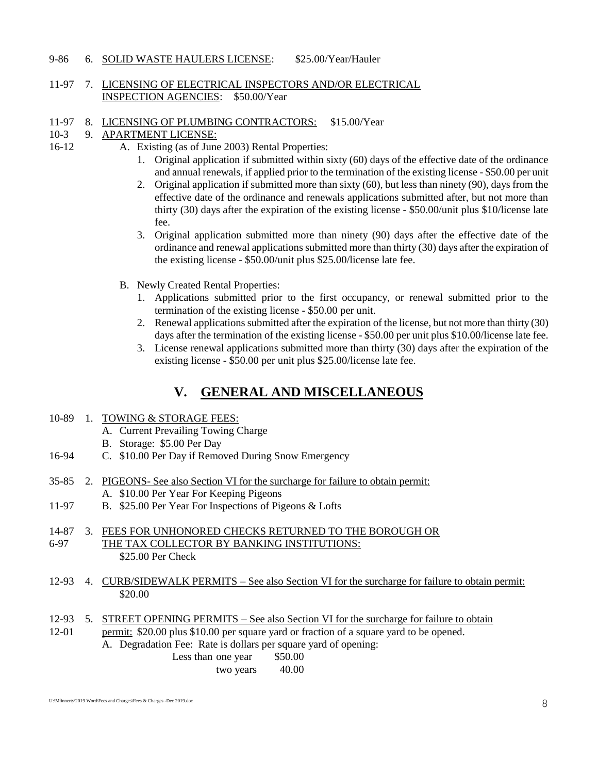#### 9-86 6. SOLID WASTE HAULERS LICENSE: \$25.00/Year/Hauler

### 11-97 7. LICENSING OF ELECTRICAL INSPECTORS AND/OR ELECTRICAL INSPECTION AGENCIES: \$50.00/Year

11-97 8. LICENSING OF PLUMBING CONTRACTORS: \$15.00/Year

#### 10-3 9. APARTMENT LICENSE:

- 16-12 A. Existing (as of June 2003) Rental Properties:
	- 1. Original application if submitted within sixty (60) days of the effective date of the ordinance and annual renewals, if applied prior to the termination of the existing license - \$50.00 per unit
	- 2. Original application if submitted more than sixty (60), but less than ninety (90), days from the effective date of the ordinance and renewals applications submitted after, but not more than thirty (30) days after the expiration of the existing license - \$50.00/unit plus \$10/license late fee.
	- 3. Original application submitted more than ninety (90) days after the effective date of the ordinance and renewal applications submitted more than thirty (30) days after the expiration of the existing license - \$50.00/unit plus \$25.00/license late fee.
	- B. Newly Created Rental Properties:
		- 1. Applications submitted prior to the first occupancy, or renewal submitted prior to the termination of the existing license - \$50.00 per unit.
		- 2. Renewal applications submitted after the expiration of the license, but not more than thirty (30) days after the termination of the existing license - \$50.00 per unit plus \$10.00/license late fee.
		- 3. License renewal applications submitted more than thirty (30) days after the expiration of the existing license - \$50.00 per unit plus \$25.00/license late fee.

# **V. GENERAL AND MISCELLANEOUS**

- 10-89 1. TOWING & STORAGE FEES:
	- A. Current Prevailing Towing Charge
	- B. Storage: \$5.00 Per Day
- 16-94 C. \$10.00 Per Day if Removed During Snow Emergency
- 35-85 2. PIGEONS- See also Section VI for the surcharge for failure to obtain permit: A. \$10.00 Per Year For Keeping Pigeons
- 11-97 B. \$25.00 Per Year For Inspections of Pigeons & Lofts

#### 14-87 3. FEES FOR UNHONORED CHECKS RETURNED TO THE BOROUGH OR 6-97 THE TAX COLLECTOR BY BANKING INSTITUTIONS: \$25.00 Per Check

- 12-93 4. CURB/SIDEWALK PERMITS See also Section VI for the surcharge for failure to obtain permit: \$20.00
- 12-93 5. STREET OPENING PERMITS See also Section VI for the surcharge for failure to obtain
- 12-01 permit: \$20.00 plus \$10.00 per square yard or fraction of a square yard to be opened. A. Degradation Fee: Rate is dollars per square yard of opening:
	- Less than one year \$50.00

two years 40.00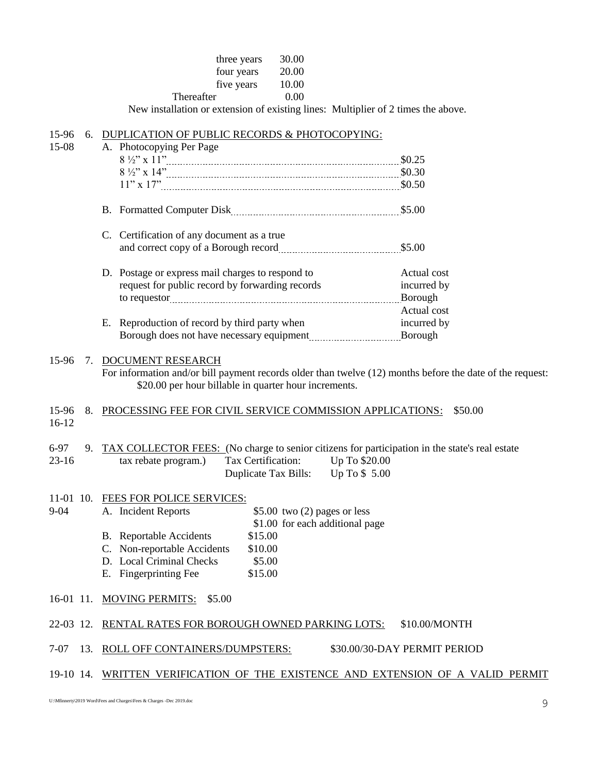| three years | 30.00 |
|-------------|-------|
| four years  | 20.00 |
| five years  | 10.00 |
| Thereafter  | 0.00  |

New installation or extension of existing lines: Multiplier of 2 times the above.

| 15-96<br>6.            | DUPLICATION OF PUBLIC RECORDS & PHOTOCOPYING:                                                                                                                                                         |                              |
|------------------------|-------------------------------------------------------------------------------------------------------------------------------------------------------------------------------------------------------|------------------------------|
| 15-08                  | A. Photocopying Per Page                                                                                                                                                                              |                              |
|                        |                                                                                                                                                                                                       |                              |
|                        |                                                                                                                                                                                                       |                              |
|                        |                                                                                                                                                                                                       |                              |
|                        |                                                                                                                                                                                                       |                              |
|                        | C. Certification of any document as a true                                                                                                                                                            |                              |
|                        |                                                                                                                                                                                                       |                              |
|                        | D. Postage or express mail charges to respond to                                                                                                                                                      | Actual cost                  |
|                        | request for public record by forwarding records                                                                                                                                                       | incurred by                  |
|                        |                                                                                                                                                                                                       | Borough                      |
|                        |                                                                                                                                                                                                       | Actual cost                  |
|                        | E. Reproduction of record by third party when                                                                                                                                                         | incurred by                  |
|                        |                                                                                                                                                                                                       |                              |
| 15-96                  | 7. DOCUMENT RESEARCH<br>For information and/or bill payment records older than twelve (12) months before the date of the request:<br>\$20.00 per hour billable in quarter hour increments.            |                              |
| 15-96<br>8.<br>$16-12$ | PROCESSING FEE FOR CIVIL SERVICE COMMISSION APPLICATIONS:                                                                                                                                             | \$50.00                      |
| $6-97$<br>$23-16$      | 9. TAX COLLECTOR FEES: (No charge to senior citizens for participation in the state's real estate<br>Tax Certification:<br>Up To \$20.00<br>tax rebate program.)<br>Duplicate Tax Bills: Up To \$5.00 |                              |
| $9 - 04$               | 11-01 10. FEES FOR POLICE SERVICES:<br>\$5.00 two $(2)$ pages or less<br>A. Incident Reports                                                                                                          |                              |
|                        | \$1.00 for each additional page<br>\$15.00                                                                                                                                                            |                              |
|                        | <b>B.</b> Reportable Accidents<br>C. Non-reportable Accidents<br>\$10.00                                                                                                                              |                              |
|                        | D. Local Criminal Checks<br>\$5.00                                                                                                                                                                    |                              |
|                        | E. Fingerprinting Fee<br>\$15.00                                                                                                                                                                      |                              |
|                        | 16-01 11. MOVING PERMITS: \$5.00                                                                                                                                                                      |                              |
|                        | 22-03 12. RENTAL RATES FOR BOROUGH OWNED PARKING LOTS:                                                                                                                                                | \$10.00/MONTH                |
| $7-07$                 | 13. ROLL OFF CONTAINERS/DUMPSTERS:                                                                                                                                                                    | \$30.00/30-DAY PERMIT PERIOD |
|                        | 19-10 14. WRITTEN VERIFICATION OF THE EXISTENCE AND EXTENSION OF A VALID PERMIT                                                                                                                       |                              |